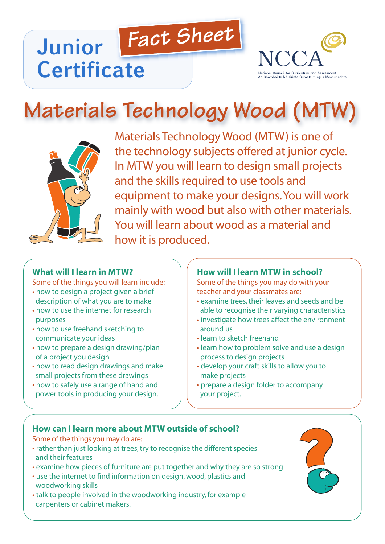# *Fact Sheet* **Junior Certificate**



# **Materials Technology Wood (MTW)**



Materials Technology Wood (MTW) is one of the technology subjects offered at junior cycle. In MTW you will learn to design small projects and the skills required to use tools and equipment to make your designs.You will work mainly with wood but also with other materials. You will learn about wood as a material and how it is produced.

#### **What will I learn in MTW?**

Some of the things you will learn include:

- how to design a project given a brief description of what you are to make
- how to use the internet for research purposes
- how to use freehand sketching to communicate your ideas
- how to prepare a design drawing/plan of a project you design
- how to read design drawings and make small projects from these drawings
- how to safely use a range of hand and power tools in producing your design.

#### **How will I learn MTW in school?**

Some of the things you may do with your teacher and your classmates are:

- examine trees, their leaves and seeds and be able to recognise their varying characteristics
- investigate how trees affect the environment around us
- learn to sketch freehand
- learn how to problem solve and use a design process to design projects
- develop your craft skills to allow you to make projects
- prepare a design folder to accompany your project.

#### **How can I learn more about MTW outside of school?**

Some of the things you may do are:

- rather than just looking at trees, try to recognise the different species and their features
- examine how pieces of furniture are put together and why they are so strong
- use the internet to find information on design, wood, plastics and woodworking skills
- talk to people involved in the woodworking industry, for example carpenters or cabinet makers.